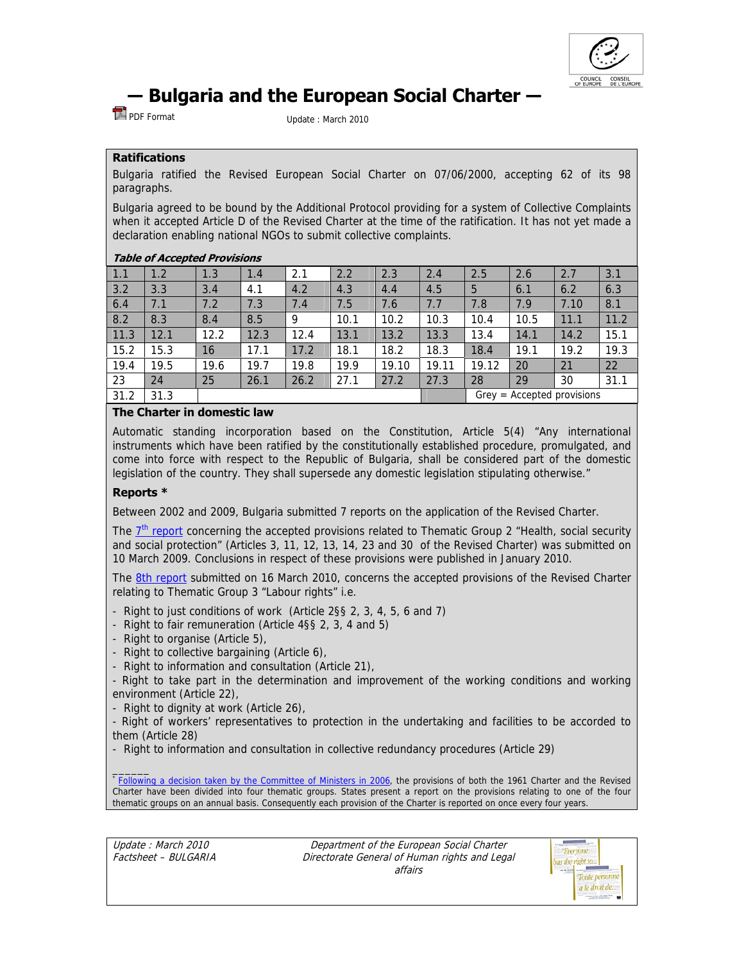

# **― Bulgaria and the European Social Charter ―**

PDF FormatUpdate : March 2010

# **Ratifications**

Bulgaria ratified the Revised European Social Charter on 07/06/2000, accepting 62 of its 98 paragraphs.

Bulgaria agreed to be bound by the Additional Protocol providing for a system of Collective Complaints when it accepted Article D of the Revised Charter at the time of the ratification. It has not yet made a declaration enabling national NGOs to submit collective complaints.

# **Table of Accepted Provisions**

| $\vert 1.1 \vert$ | 1.2  | 1.3  | 1.4  | 2.1  | 2.2  | 2.3   | 2.4   | 2.5                          | 2.6  | 2.7  | 3.1  |
|-------------------|------|------|------|------|------|-------|-------|------------------------------|------|------|------|
| 3.2               | 3.3  | 3.4  | 4.1  | 4.2  | 4.3  | 4.4   | 4.5   | 5                            | 6.1  | 6.2  | 6.3  |
| 6.4               | 7.1  | 7.2  | 7.3  | 7.4  | 7.5  | 7.6   | 7.7   | 7.8                          | 7.9  | 7.10 | 8.1  |
| 8.2               | 8.3  | 8.4  | 8.5  | 9    | 10.1 | 10.2  | 10.3  | 10.4                         | 10.5 | 11.1 | 11.2 |
| 11.3              | 12.1 | 12.2 | 12.3 | 12.4 | 13.1 | 13.2  | 13.3  | 13.4                         | 14.1 | 14.2 | 15.1 |
| 15.2              | 15.3 | 16   | 17.1 | 17.2 | 18.1 | 18.2  | 18.3  | 18.4                         | 19.1 | 19.2 | 19.3 |
| 19.4              | 19.5 | 19.6 | 19.7 | 19.8 | 19.9 | 19.10 | 19.11 | 19.12                        | 20   | 21   | 22   |
| 23                | 24   | 25   | 26.1 | 26.2 | 27.1 | 27.2  | 27.3  | 28                           | 29   | 30   | 31.1 |
| 31.2              | 31.3 |      |      |      |      |       |       | $Grey = Accepted provisions$ |      |      |      |

# **The Charter in domestic law**

Automatic standing incorporation based on the Constitution, Article 5(4) "Any international instruments which have been ratified by the constitutionally established procedure, promulgated, and come into force with respect to the Republic of Bulgaria, shall be considered part of the domestic legislation of the country. They shall supersede any domestic legislation stipulating otherwise."

# **Reports \***

Between 2002 and 2009, Bulgaria submitted 7 reports on the application of the Revised Charter.

The  $7<sup>th</sup>$  report concerning the accepted provisions related to Thematic Group 2 "Health, social security and social protection" (Articles 3, 11, 12, 13, 14, 23 and 30 of the Revised Charter) was submitted on 10 March 2009. Conclusions in respect of these provisions were published in January 2010.

The 8th report submitted on 16 March 2010, concerns the accepted provisions of the Revised Charter relating to Thematic Group 3 "Labour rights" i.e.

- Right to just conditions of work (Article 2§§ 2, 3, 4, 5, 6 and 7)
- Right to fair remuneration (Article 4§§ 2, 3, 4 and 5)
- Right to organise (Article 5),
- Right to collective bargaining (Article 6),
- Right to information and consultation (Article 21),

- Right to take part in the determination and improvement of the working conditions and working environment (Article 22),

- Right to dignity at work (Article 26),

- Right of workers' representatives to protection in the undertaking and facilities to be accorded to them (Article 28)

- Right to information and consultation in collective redundancy procedures (Article 29)

**Following a decision taken by the Committee of Ministers in 2006**, the provisions of both the 1961 Charter and the Revised Charter have been divided into four thematic groups. States present a report on the provisions relating to one of the four thematic groups on an annual basis. Consequently each provision of the Charter is reported on once every four years.

Update : March 2010 Factsheet – BULGARIA

\_\_\_\_\_\_

Department of the European Social Charter Directorate General of Human rights and Legal affairs

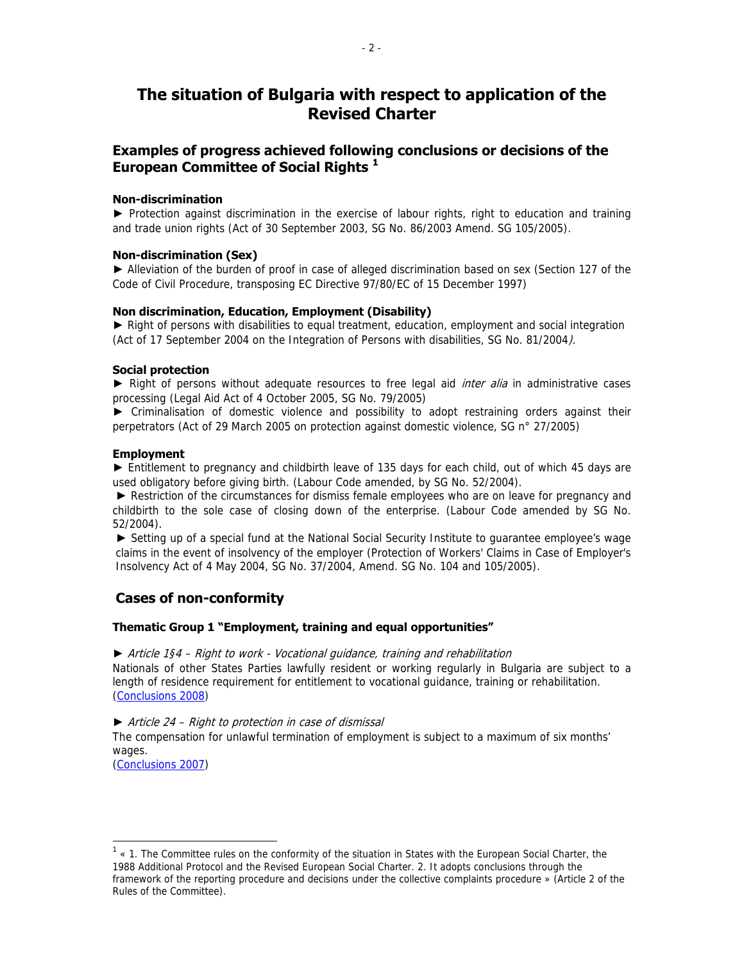# **The situation of Bulgaria with respect to application of the Revised Charter**

# **Examples of progress achieved following conclusions or decisions of the European Committee of Social Rights <sup>1</sup>**

# **Non-discrimination**

► Protection against discrimination in the exercise of labour rights, right to education and training and trade union rights (Act of 30 September 2003, SG No. 86/2003 Amend. SG 105/2005).

# **Non-discrimination (Sex)**

► Alleviation of the burden of proof in case of alleged discrimination based on sex (Section 127 of the Code of Civil Procedure, transposing EC Directive 97/80/EC of 15 December 1997)

# **Non discrimination, Education, Employment (Disability)**

► Right of persons with disabilities to equal treatment, education, employment and social integration (Act of 17 September 2004 on the Integration of Persons with disabilities, SG No. 81/2004).

# **Social protection**

► Right of persons without adequate resources to free legal aid *inter alia* in administrative cases processing (Legal Aid Act of 4 October 2005, SG No. 79/2005)

► Criminalisation of domestic violence and possibility to adopt restraining orders against their perpetrators (Act of 29 March 2005 on protection against domestic violence, SG n° 27/2005)

# **Employment**

► Entitlement to pregnancy and childbirth leave of 135 days for each child, out of which 45 days are used obligatory before giving birth. (Labour Code amended, by SG No. 52/2004).

► Restriction of the circumstances for dismiss female employees who are on leave for pregnancy and childbirth to the sole case of closing down of the enterprise. (Labour Code amended by SG No. 52/2004).

► Setting up of a special fund at the National Social Security Institute to quarantee employee's wage claims in the event of insolvency of the employer (Protection of Workers' Claims in Case of Employer's Insolvency Act of 4 May 2004, SG No. 37/2004, Amend. SG No. 104 and 105/2005).

# **Cases of non-conformity**

# **Thematic Group 1 "Employment, training and equal opportunities"**

# ► Article 1§4 – Right to work - Vocational guidance, training and rehabilitation

Nationals of other States Parties lawfully resident or working regularly in Bulgaria are subject to a length of residence requirement for entitlement to vocational guidance, training or rehabilitation. (Conclusions 2008)

# ► Article 24 – Right to protection in case of dismissal

The compensation for unlawful termination of employment is subject to a maximum of six months' wages.

(Conclusions 2007)

 $\overline{a}$ 

 $1$   $\cdot$  1. The Committee rules on the conformity of the situation in States with the European Social Charter, the 1988 Additional Protocol and the Revised European Social Charter. 2. It adopts conclusions through the framework of the reporting procedure and decisions under the collective complaints procedure » (Article 2 of the Rules of the Committee).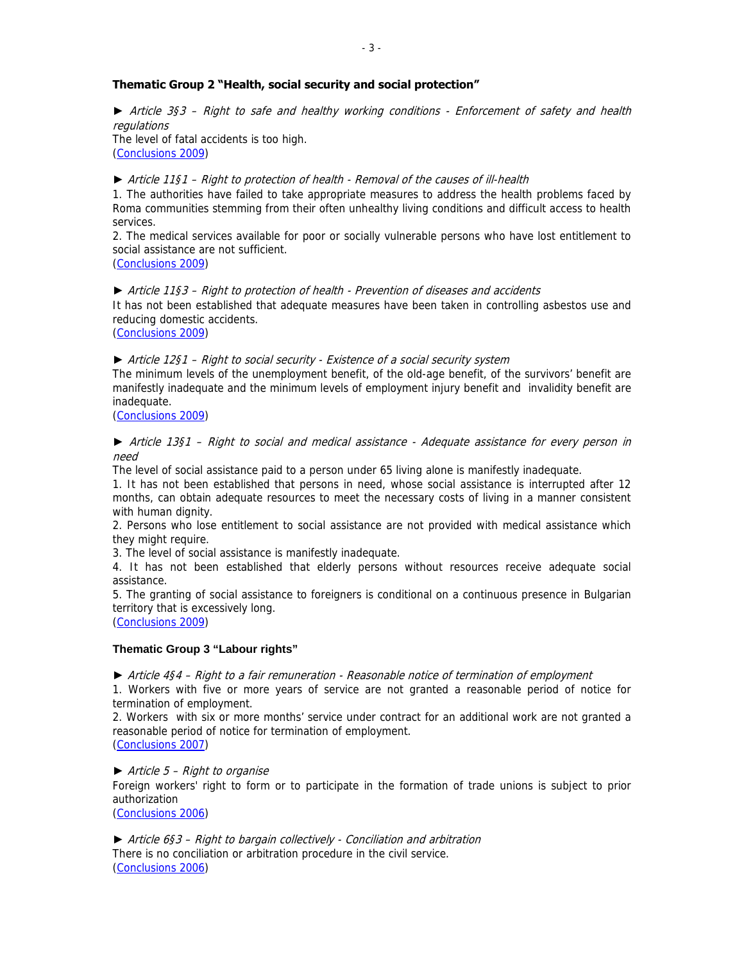# **Thematic Group 2 "Health, social security and social protection"**

► Article 3§3 – Right to safe and healthy working conditions - Enforcement of safety and health regulations

The level of fatal accidents is too high. (Conclusions 2009)

► Article 11§1 – Right to protection of health - Removal of the causes of ill-health

1. The authorities have failed to take appropriate measures to address the health problems faced by Roma communities stemming from their often unhealthy living conditions and difficult access to health services.

2. The medical services available for poor or socially vulnerable persons who have lost entitlement to social assistance are not sufficient.

(Conclusions 2009)

► Article 11§3 – Right to protection of health - Prevention of diseases and accidents It has not been established that adequate measures have been taken in controlling asbestos use and reducing domestic accidents.

(Conclusions 2009)

► Article 12§1 – Right to social security - Existence of a social security system

The minimum levels of the unemployment benefit, of the old-age benefit, of the survivors' benefit are manifestly inadequate and the minimum levels of employment injury benefit and invalidity benefit are inadequate.

(Conclusions 2009)

► Article 13§1 – Right to social and medical assistance - Adequate assistance for every person in need

The level of social assistance paid to a person under 65 living alone is manifestly inadequate.

1. It has not been established that persons in need, whose social assistance is interrupted after 12 months, can obtain adequate resources to meet the necessary costs of living in a manner consistent with human dignity.

2. Persons who lose entitlement to social assistance are not provided with medical assistance which they might require.

3. The level of social assistance is manifestly inadequate.

4. It has not been established that elderly persons without resources receive adequate social assistance.

5. The granting of social assistance to foreigners is conditional on a continuous presence in Bulgarian territory that is excessively long.

(Conclusions 2009)

#### **Thematic Group 3 "Labour rights"**

► Article 4§4 – Right to a fair remuneration - Reasonable notice of termination of employment

1. Workers with five or more years of service are not granted a reasonable period of notice for termination of employment.

2. Workers with six or more months' service under contract for an additional work are not granted a reasonable period of notice for termination of employment. (Conclusions 2007)

 $\blacktriangleright$  Article 5 – Right to organise

Foreign workers' right to form or to participate in the formation of trade unions is subject to prior authorization

(Conclusions 2006)

► Article 6§3 – Right to bargain collectively - Conciliation and arbitration There is no conciliation or arbitration procedure in the civil service. (Conclusions 2006)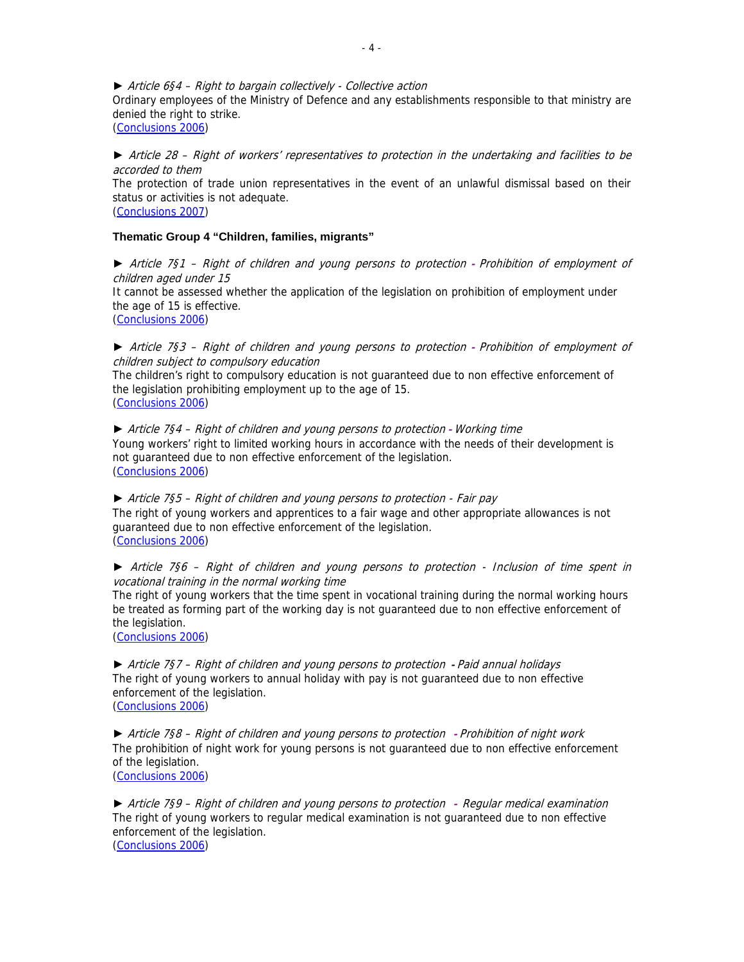► Article 6§4 – Right to bargain collectively - Collective action

Ordinary employees of the Ministry of Defence and any establishments responsible to that ministry are denied the right to strike.

(Conclusions 2006)

► Article 28 – Right of workers' representatives to protection in the undertaking and facilities to be accorded to them

The protection of trade union representatives in the event of an unlawful dismissal based on their status or activities is not adequate.

(Conclusions 2007)

#### **Thematic Group 4 "Children, families, migrants"**

► Article 7§1 – Right of children and young persons to protection **-** Prohibition of employment of children aged under 15 It cannot be assessed whether the application of the legislation on prohibition of employment under the age of 15 is effective. (Conclusions 2006)

► Article 7§3 – Right of children and young persons to protection **-** Prohibition of employment of children subject to compulsory education

The children's right to compulsory education is not guaranteed due to non effective enforcement of the legislation prohibiting employment up to the age of 15. (Conclusions 2006)

► Article 7§4 – Right of children and young persons to protection **-** Working time Young workers' right to limited working hours in accordance with the needs of their development is not guaranteed due to non effective enforcement of the legislation. (Conclusions 2006)

► Article 7§5 – Right of children and young persons to protection - Fair pay The right of young workers and apprentices to a fair wage and other appropriate allowances is not guaranteed due to non effective enforcement of the legislation. (Conclusions 2006)

► Article 7§6 – Right of children and young persons to protection - Inclusion of time spent in vocational training in the normal working time

The right of young workers that the time spent in vocational training during the normal working hours be treated as forming part of the working day is not guaranteed due to non effective enforcement of the legislation.

(Conclusions 2006)

► Article 7§7 – Right of children and young persons to protection **-** Paid annual holidays The right of young workers to annual holiday with pay is not guaranteed due to non effective enforcement of the legislation. (Conclusions 2006)

► Article 7§8 – Right of children and young persons to protection **-** Prohibition of night work The prohibition of night work for young persons is not guaranteed due to non effective enforcement of the legislation. (Conclusions 2006)

► Article 7§9 – Right of children and young persons to protection **-** Regular medical examination The right of young workers to regular medical examination is not guaranteed due to non effective enforcement of the legislation. (Conclusions 2006)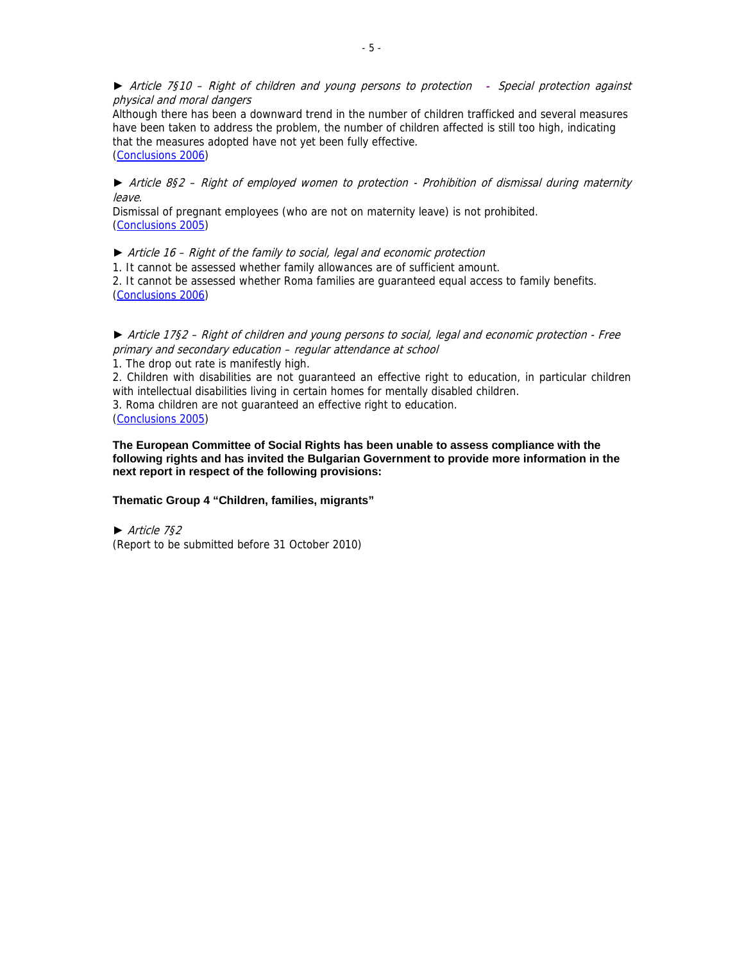► Article 7§10 – Right of children and young persons to protection **-** Special protection against physical and moral dangers

Although there has been a downward trend in the number of children trafficked and several measures have been taken to address the problem, the number of children affected is still too high, indicating that the measures adopted have not yet been fully effective. (Conclusions 2006)

# ► Article 8§2 – Right of employed women to protection - Prohibition of dismissal during maternity leave.

Dismissal of pregnant employees (who are not on maternity leave) is not prohibited. (Conclusions 2005)

► Article 16 – Right of the family to social, legal and economic protection

1. It cannot be assessed whether family allowances are of sufficient amount.

2. It cannot be assessed whether Roma families are guaranteed equal access to family benefits. (Conclusions 2006)

# ► Article 17§2 – Right of children and young persons to social, legal and economic protection - Free primary and secondary education – regular attendance at school

1. The drop out rate is manifestly high.

2. Children with disabilities are not guaranteed an effective right to education, in particular children with intellectual disabilities living in certain homes for mentally disabled children.

3. Roma children are not guaranteed an effective right to education.

(Conclusions 2005)

#### **The European Committee of Social Rights has been unable to assess compliance with the following rights and has invited the Bulgarian Government to provide more information in the next report in respect of the following provisions:**

# **Thematic Group 4 "Children, families, migrants"**

► Article 7§2 (Report to be submitted before 31 October 2010)